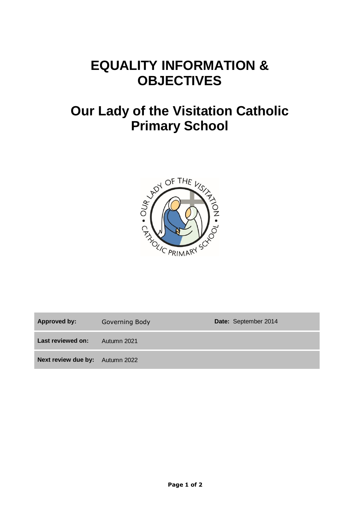## **EQUALITY INFORMATION & OBJECTIVES**

# **Our Lady of the Visitation Catholic Primary School**



Approved by: Governing Body **Date:** September 2014 **Last reviewed on:** Autumn 2021 **Next review due by:** Autumn 2022